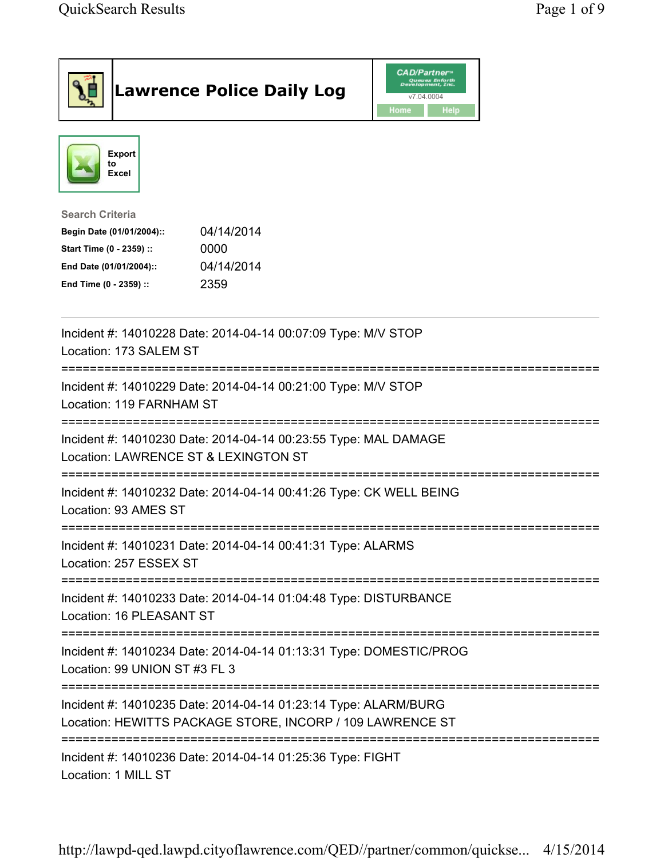|                                                                                                                                      | <b>Lawrence Police Daily Log</b>                                                                                             | <b>CAD/Partner</b> "<br>Queues Enforth<br>Development, Inc.<br>v7.04.0004<br>Home<br><b>Help</b> |  |
|--------------------------------------------------------------------------------------------------------------------------------------|------------------------------------------------------------------------------------------------------------------------------|--------------------------------------------------------------------------------------------------|--|
| Export<br>to<br>Excel                                                                                                                |                                                                                                                              |                                                                                                  |  |
| <b>Search Criteria</b><br>Begin Date (01/01/2004)::<br>Start Time (0 - 2359) ::<br>End Date (01/01/2004)::<br>End Time (0 - 2359) :: | 04/14/2014<br>0000<br>04/14/2014<br>2359                                                                                     |                                                                                                  |  |
| Location: 173 SALEM ST                                                                                                               | Incident #: 14010228 Date: 2014-04-14 00:07:09 Type: M/V STOP                                                                |                                                                                                  |  |
| =============================<br>Location: 119 FARNHAM ST                                                                            | Incident #: 14010229 Date: 2014-04-14 00:21:00 Type: M/V STOP                                                                |                                                                                                  |  |
| Location: LAWRENCE ST & LEXINGTON ST                                                                                                 | Incident #: 14010230 Date: 2014-04-14 00:23:55 Type: MAL DAMAGE                                                              |                                                                                                  |  |
| Location: 93 AMES ST                                                                                                                 | Incident #: 14010232 Date: 2014-04-14 00:41:26 Type: CK WELL BEING                                                           |                                                                                                  |  |
| Location: 257 ESSEX ST                                                                                                               | Incident #: 14010231 Date: 2014-04-14 00:41:31 Type: ALARMS                                                                  |                                                                                                  |  |
| Location: 16 PLEASANT ST                                                                                                             | Incident #: 14010233 Date: 2014-04-14 01:04:48 Type: DISTURBANCE                                                             |                                                                                                  |  |
| Location: 99 UNION ST #3 FL 3                                                                                                        | Incident #: 14010234 Date: 2014-04-14 01:13:31 Type: DOMESTIC/PROG                                                           |                                                                                                  |  |
|                                                                                                                                      | Incident #: 14010235 Date: 2014-04-14 01:23:14 Type: ALARM/BURG<br>Location: HEWITTS PACKAGE STORE, INCORP / 109 LAWRENCE ST |                                                                                                  |  |
| Location: 1 MILL ST                                                                                                                  | Incident #: 14010236 Date: 2014-04-14 01:25:36 Type: FIGHT                                                                   |                                                                                                  |  |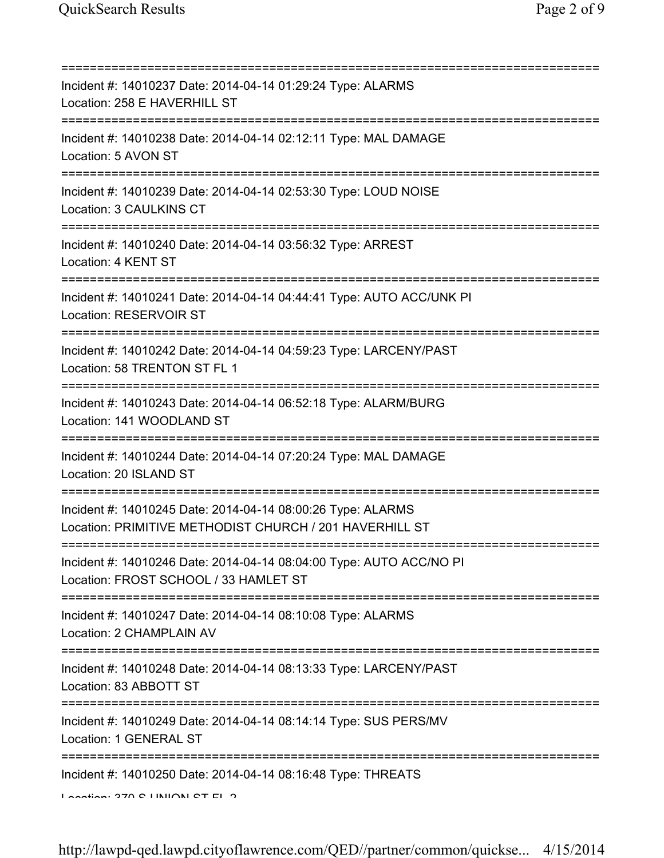| Incident #: 14010237 Date: 2014-04-14 01:29:24 Type: ALARMS<br>Location: 258 E HAVERHILL ST                                                                                                      |
|--------------------------------------------------------------------------------------------------------------------------------------------------------------------------------------------------|
| Incident #: 14010238 Date: 2014-04-14 02:12:11 Type: MAL DAMAGE<br>Location: 5 AVON ST                                                                                                           |
| Incident #: 14010239 Date: 2014-04-14 02:53:30 Type: LOUD NOISE<br>Location: 3 CAULKINS CT<br>====================                                                                               |
| Incident #: 14010240 Date: 2014-04-14 03:56:32 Type: ARREST<br>Location: 4 KENT ST                                                                                                               |
| Incident #: 14010241 Date: 2014-04-14 04:44:41 Type: AUTO ACC/UNK PI<br>Location: RESERVOIR ST                                                                                                   |
| ================================<br>Incident #: 14010242 Date: 2014-04-14 04:59:23 Type: LARCENY/PAST<br>Location: 58 TRENTON ST FL 1                                                            |
| Incident #: 14010243 Date: 2014-04-14 06:52:18 Type: ALARM/BURG<br>Location: 141 WOODLAND ST<br>===================================                                                              |
| Incident #: 14010244 Date: 2014-04-14 07:20:24 Type: MAL DAMAGE<br>Location: 20 ISLAND ST<br>=============================                                                                       |
| Incident #: 14010245 Date: 2014-04-14 08:00:26 Type: ALARMS<br>Location: PRIMITIVE METHODIST CHURCH / 201 HAVERHILL ST                                                                           |
| Incident #: 14010246 Date: 2014-04-14 08:04:00 Type: AUTO ACC/NO PI<br>Location: FROST SCHOOL / 33 HAMLET ST                                                                                     |
| Incident #: 14010247 Date: 2014-04-14 08:10:08 Type: ALARMS<br>Location: 2 CHAMPLAIN AV                                                                                                          |
| =====================================<br>Incident #: 14010248 Date: 2014-04-14 08:13:33 Type: LARCENY/PAST<br>Location: 83 ABBOTT ST                                                             |
| Incident #: 14010249 Date: 2014-04-14 08:14:14 Type: SUS PERS/MV<br>Location: 1 GENERAL ST                                                                                                       |
| Incident #: 14010250 Date: 2014-04-14 08:16:48 Type: THREATS<br>$\overline{a}$ and $\overline{a}$ and $\overline{a}$ and $\overline{a}$ and $\overline{a}$ and $\overline{a}$ and $\overline{a}$ |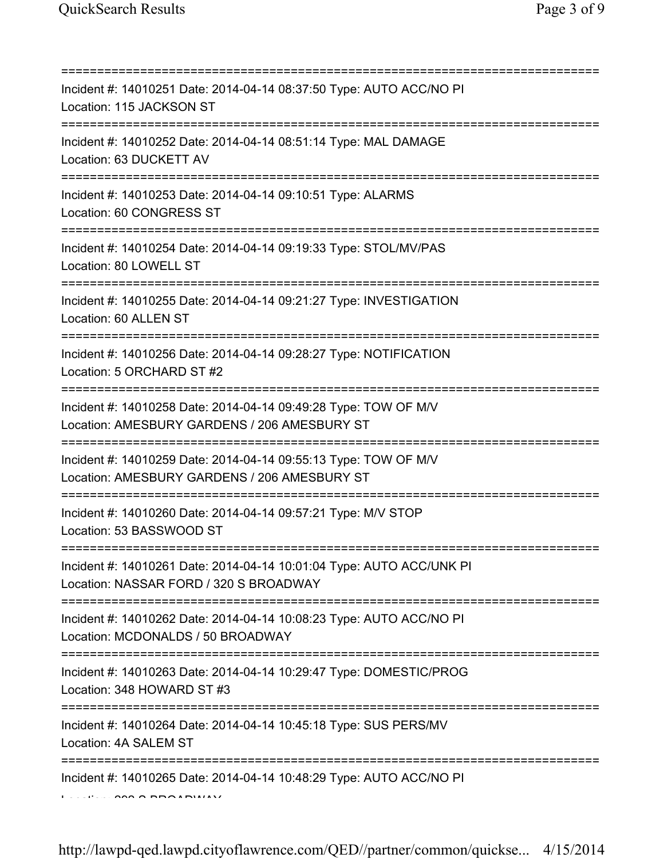| Incident #: 14010251 Date: 2014-04-14 08:37:50 Type: AUTO ACC/NO PI<br>Location: 115 JACKSON ST                                      |
|--------------------------------------------------------------------------------------------------------------------------------------|
| Incident #: 14010252 Date: 2014-04-14 08:51:14 Type: MAL DAMAGE<br>Location: 63 DUCKETT AV                                           |
| Incident #: 14010253 Date: 2014-04-14 09:10:51 Type: ALARMS<br>Location: 60 CONGRESS ST                                              |
| Incident #: 14010254 Date: 2014-04-14 09:19:33 Type: STOL/MV/PAS<br>Location: 80 LOWELL ST                                           |
| ===================<br>Incident #: 14010255 Date: 2014-04-14 09:21:27 Type: INVESTIGATION<br>Location: 60 ALLEN ST                   |
| Incident #: 14010256 Date: 2014-04-14 09:28:27 Type: NOTIFICATION<br>Location: 5 ORCHARD ST #2<br>=================================  |
| Incident #: 14010258 Date: 2014-04-14 09:49:28 Type: TOW OF M/V<br>Location: AMESBURY GARDENS / 206 AMESBURY ST<br>================= |
| Incident #: 14010259 Date: 2014-04-14 09:55:13 Type: TOW OF M/V<br>Location: AMESBURY GARDENS / 206 AMESBURY ST                      |
| Incident #: 14010260 Date: 2014-04-14 09:57:21 Type: M/V STOP<br>Location: 53 BASSWOOD ST                                            |
| Incident #: 14010261 Date: 2014-04-14 10:01:04 Type: AUTO ACC/UNK PI<br>Location: NASSAR FORD / 320 S BROADWAY                       |
| Incident #: 14010262 Date: 2014-04-14 10:08:23 Type: AUTO ACC/NO PI<br>Location: MCDONALDS / 50 BROADWAY                             |
| Incident #: 14010263 Date: 2014-04-14 10:29:47 Type: DOMESTIC/PROG<br>Location: 348 HOWARD ST #3                                     |
| Incident #: 14010264 Date: 2014-04-14 10:45:18 Type: SUS PERS/MV<br>Location: 4A SALEM ST                                            |
| Incident #: 14010265 Date: 2014-04-14 10:48:29 Type: AUTO ACC/NO PI                                                                  |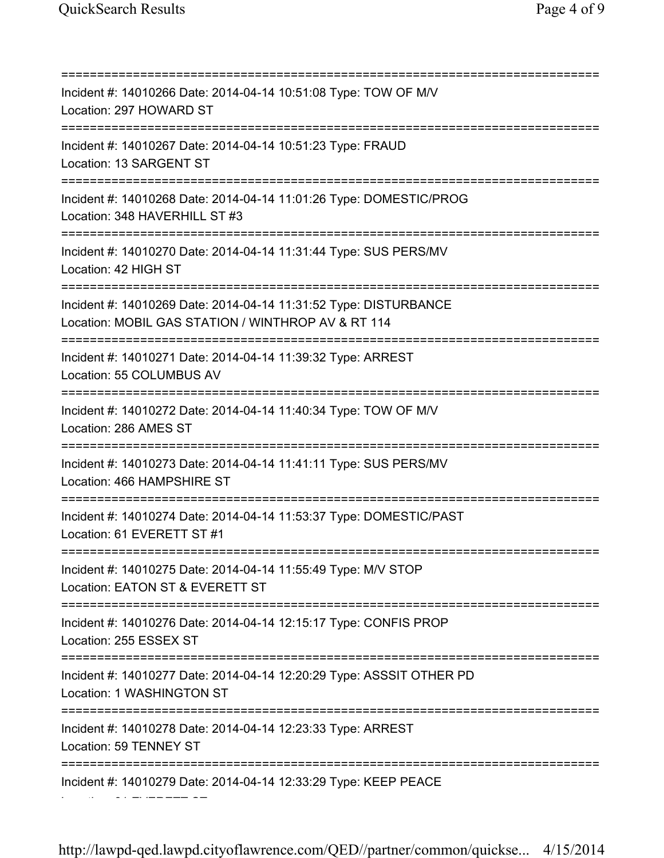=========================================================================== Incident #: 14010266 Date: 2014-04-14 10:51:08 Type: TOW OF M/V Location: 297 HOWARD ST =========================================================================== Incident #: 14010267 Date: 2014-04-14 10:51:23 Type: FRAUD Location: 13 SARGENT ST =========================================================================== Incident #: 14010268 Date: 2014-04-14 11:01:26 Type: DOMESTIC/PROG Location: 348 HAVERHILL ST #3 =========================================================================== Incident #: 14010270 Date: 2014-04-14 11:31:44 Type: SUS PERS/MV Location: 42 HIGH ST =========================================================================== Incident #: 14010269 Date: 2014-04-14 11:31:52 Type: DISTURBANCE Location: MOBIL GAS STATION / WINTHROP AV & RT 114 =========================================================================== Incident #: 14010271 Date: 2014-04-14 11:39:32 Type: ARREST Location: 55 COLUMBUS AV =========================================================================== Incident #: 14010272 Date: 2014-04-14 11:40:34 Type: TOW OF M/V Location: 286 AMES ST =========================================================================== Incident #: 14010273 Date: 2014-04-14 11:41:11 Type: SUS PERS/MV Location: 466 HAMPSHIRE ST =========================================================================== Incident #: 14010274 Date: 2014-04-14 11:53:37 Type: DOMESTIC/PAST Location: 61 EVERETT ST #1 =========================================================================== Incident #: 14010275 Date: 2014-04-14 11:55:49 Type: M/V STOP Location: EATON ST & EVERETT ST =========================================================================== Incident #: 14010276 Date: 2014-04-14 12:15:17 Type: CONFIS PROP Location: 255 ESSEX ST =========================================================================== Incident #: 14010277 Date: 2014-04-14 12:20:29 Type: ASSSIT OTHER PD Location: 1 WASHINGTON ST =========================================================================== Incident #: 14010278 Date: 2014-04-14 12:23:33 Type: ARREST Location: 59 TENNEY ST =========================================================================== Incident #: 14010279 Date: 2014-04-14 12:33:29 Type: KEEP PEACE Location: 61 EVERETT ST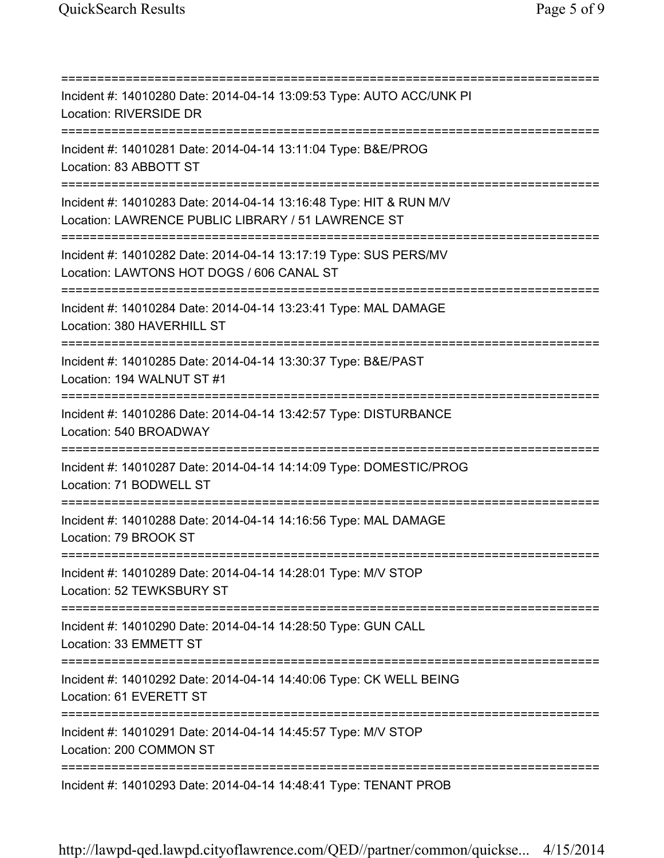=========================================================================== Incident #: 14010280 Date: 2014-04-14 13:09:53 Type: AUTO ACC/UNK PI Location: RIVERSIDE DR =========================================================================== Incident #: 14010281 Date: 2014-04-14 13:11:04 Type: B&E/PROG Location: 83 ABBOTT ST =========================================================================== Incident #: 14010283 Date: 2014-04-14 13:16:48 Type: HIT & RUN M/V Location: LAWRENCE PUBLIC LIBRARY / 51 LAWRENCE ST =========================================================================== Incident #: 14010282 Date: 2014-04-14 13:17:19 Type: SUS PERS/MV Location: LAWTONS HOT DOGS / 606 CANAL ST =========================================================================== Incident #: 14010284 Date: 2014-04-14 13:23:41 Type: MAL DAMAGE Location: 380 HAVERHILL ST =========================================================================== Incident #: 14010285 Date: 2014-04-14 13:30:37 Type: B&E/PAST Location: 194 WALNUT ST #1 =========================================================================== Incident #: 14010286 Date: 2014-04-14 13:42:57 Type: DISTURBANCE Location: 540 BROADWAY =========================================================================== Incident #: 14010287 Date: 2014-04-14 14:14:09 Type: DOMESTIC/PROG Location: 71 BODWELL ST =========================================================================== Incident #: 14010288 Date: 2014-04-14 14:16:56 Type: MAL DAMAGE Location: 79 BROOK ST =========================================================================== Incident #: 14010289 Date: 2014-04-14 14:28:01 Type: M/V STOP Location: 52 TEWKSBURY ST =========================================================================== Incident #: 14010290 Date: 2014-04-14 14:28:50 Type: GUN CALL Location: 33 EMMETT ST =========================================================================== Incident #: 14010292 Date: 2014-04-14 14:40:06 Type: CK WELL BEING Location: 61 EVERETT ST =========================================================================== Incident #: 14010291 Date: 2014-04-14 14:45:57 Type: M/V STOP Location: 200 COMMON ST =========================================================================== Incident #: 14010293 Date: 2014-04-14 14:48:41 Type: TENANT PROB

http://lawpd-qed.lawpd.cityoflawrence.com/QED//partner/common/quickse... 4/15/2014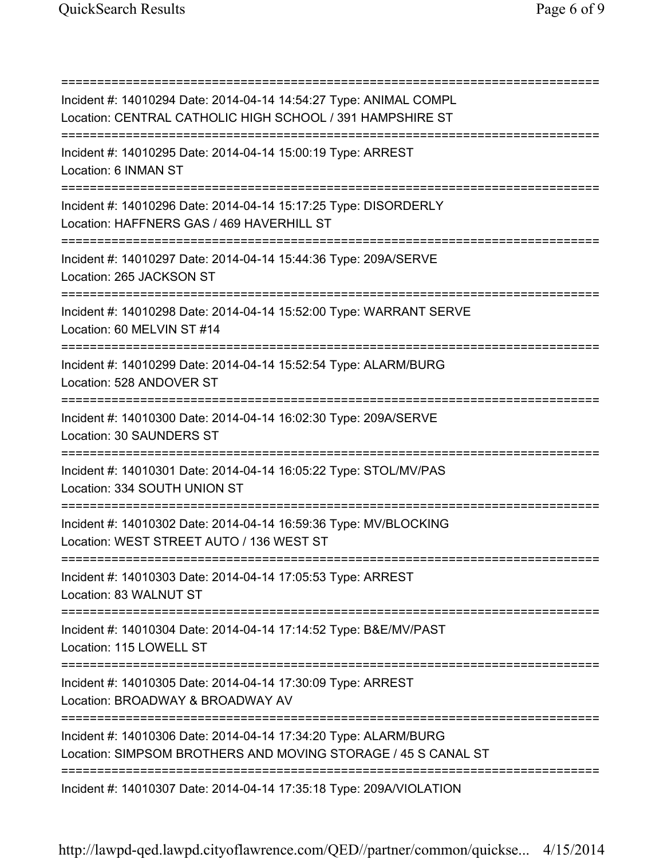| ============                                                                                                                        |
|-------------------------------------------------------------------------------------------------------------------------------------|
| Incident #: 14010294 Date: 2014-04-14 14:54:27 Type: ANIMAL COMPL<br>Location: CENTRAL CATHOLIC HIGH SCHOOL / 391 HAMPSHIRE ST      |
| Incident #: 14010295 Date: 2014-04-14 15:00:19 Type: ARREST<br>Location: 6 INMAN ST                                                 |
| Incident #: 14010296 Date: 2014-04-14 15:17:25 Type: DISORDERLY<br>Location: HAFFNERS GAS / 469 HAVERHILL ST                        |
| Incident #: 14010297 Date: 2014-04-14 15:44:36 Type: 209A/SERVE<br>Location: 265 JACKSON ST                                         |
| Incident #: 14010298 Date: 2014-04-14 15:52:00 Type: WARRANT SERVE<br>Location: 60 MELVIN ST #14                                    |
| Incident #: 14010299 Date: 2014-04-14 15:52:54 Type: ALARM/BURG<br>Location: 528 ANDOVER ST                                         |
| Incident #: 14010300 Date: 2014-04-14 16:02:30 Type: 209A/SERVE<br>Location: 30 SAUNDERS ST                                         |
| Incident #: 14010301 Date: 2014-04-14 16:05:22 Type: STOL/MV/PAS<br>Location: 334 SOUTH UNION ST                                    |
| Incident #: 14010302 Date: 2014-04-14 16:59:36 Type: MV/BLOCKING<br>Location: WEST STREET AUTO / 136 WEST ST                        |
| Incident #: 14010303 Date: 2014-04-14 17:05:53 Type: ARREST<br>Location: 83 WALNUT ST                                               |
| ====================================<br>Incident #: 14010304 Date: 2014-04-14 17:14:52 Type: B&E/MV/PAST<br>Location: 115 LOWELL ST |
| :=============================<br>Incident #: 14010305 Date: 2014-04-14 17:30:09 Type: ARREST<br>Location: BROADWAY & BROADWAY AV   |
| Incident #: 14010306 Date: 2014-04-14 17:34:20 Type: ALARM/BURG<br>Location: SIMPSOM BROTHERS AND MOVING STORAGE / 45 S CANAL ST    |
| Incident #: 14010307 Date: 2014-04-14 17:35:18 Type: 209A/VIOLATION                                                                 |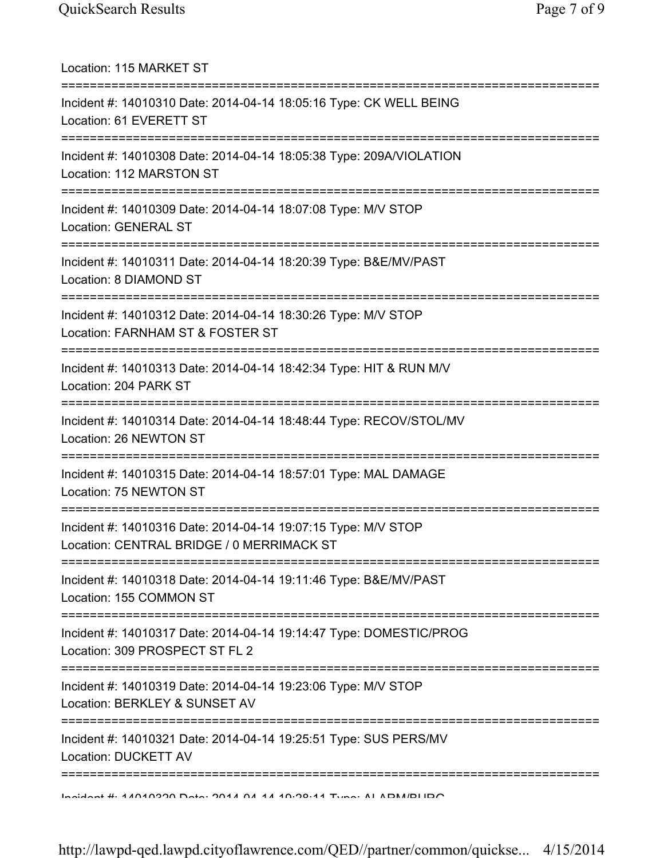| Location: 115 MARKET ST                                                                                                               |
|---------------------------------------------------------------------------------------------------------------------------------------|
| Incident #: 14010310 Date: 2014-04-14 18:05:16 Type: CK WELL BEING<br>Location: 61 EVERETT ST                                         |
| Incident #: 14010308 Date: 2014-04-14 18:05:38 Type: 209A/VIOLATION<br>Location: 112 MARSTON ST                                       |
| Incident #: 14010309 Date: 2014-04-14 18:07:08 Type: M/V STOP<br><b>Location: GENERAL ST</b><br>===================================== |
| Incident #: 14010311 Date: 2014-04-14 18:20:39 Type: B&E/MV/PAST<br>Location: 8 DIAMOND ST<br>================================        |
| Incident #: 14010312 Date: 2014-04-14 18:30:26 Type: M/V STOP<br>Location: FARNHAM ST & FOSTER ST<br>==================               |
| Incident #: 14010313 Date: 2014-04-14 18:42:34 Type: HIT & RUN M/V<br>Location: 204 PARK ST                                           |
| Incident #: 14010314 Date: 2014-04-14 18:48:44 Type: RECOV/STOL/MV<br>Location: 26 NEWTON ST                                          |
| Incident #: 14010315 Date: 2014-04-14 18:57:01 Type: MAL DAMAGE<br>Location: 75 NEWTON ST                                             |
| Incident #: 14010316 Date: 2014-04-14 19:07:15 Type: M/V STOP<br>Location: CENTRAL BRIDGE / 0 MERRIMACK ST                            |
| Incident #: 14010318 Date: 2014-04-14 19:11:46 Type: B&E/MV/PAST<br>Location: 155 COMMON ST                                           |
| Incident #: 14010317 Date: 2014-04-14 19:14:47 Type: DOMESTIC/PROG<br>Location: 309 PROSPECT ST FL 2                                  |
| Incident #: 14010319 Date: 2014-04-14 19:23:06 Type: M/V STOP<br>Location: BERKLEY & SUNSET AV                                        |
| ;==============<br>Incident #: 14010321 Date: 2014-04-14 19:25:51 Type: SUS PERS/MV<br><b>Location: DUCKETT AV</b>                    |
| <b>DOLLIGIMAL 4. 4 AND CODE A A A AND AND A AND CODENT A HOMAGE OF THE LONG AT A HOMAGE AT A AND A THE STATE OF B</b>                 |

http://lawpd-qed.lawpd.cityoflawrence.com/QED//partner/common/quickse... 4/15/2014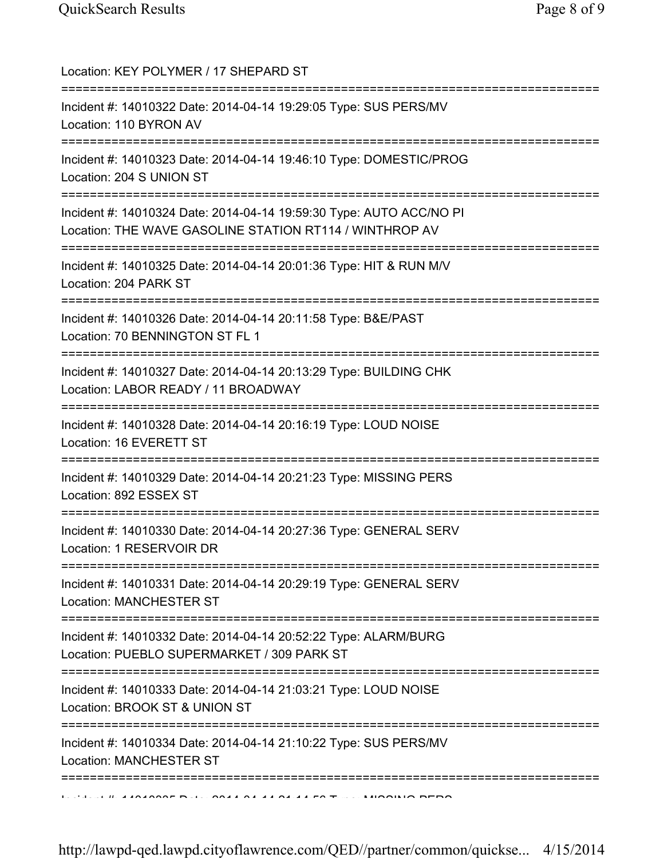| Location: KEY POLYMER / 17 SHEPARD ST                                                                                                                 |
|-------------------------------------------------------------------------------------------------------------------------------------------------------|
| Incident #: 14010322 Date: 2014-04-14 19:29:05 Type: SUS PERS/MV<br>Location: 110 BYRON AV                                                            |
| Incident #: 14010323 Date: 2014-04-14 19:46:10 Type: DOMESTIC/PROG<br>Location: 204 S UNION ST                                                        |
| Incident #: 14010324 Date: 2014-04-14 19:59:30 Type: AUTO ACC/NO PI<br>Location: THE WAVE GASOLINE STATION RT114 / WINTHROP AV                        |
| Incident #: 14010325 Date: 2014-04-14 20:01:36 Type: HIT & RUN M/V<br>Location: 204 PARK ST                                                           |
| Incident #: 14010326 Date: 2014-04-14 20:11:58 Type: B&E/PAST<br>Location: 70 BENNINGTON ST FL 1                                                      |
| Incident #: 14010327 Date: 2014-04-14 20:13:29 Type: BUILDING CHK<br>Location: LABOR READY / 11 BROADWAY<br>==========================                |
| Incident #: 14010328 Date: 2014-04-14 20:16:19 Type: LOUD NOISE<br>Location: 16 EVERETT ST                                                            |
| Incident #: 14010329 Date: 2014-04-14 20:21:23 Type: MISSING PERS<br>Location: 892 ESSEX ST                                                           |
| Incident #: 14010330 Date: 2014-04-14 20:27:36 Type: GENERAL SERV<br>Location: 1 RESERVOIR DR                                                         |
| Incident #: 14010331 Date: 2014-04-14 20:29:19 Type: GENERAL SERV<br><b>Location: MANCHESTER ST</b>                                                   |
| Incident #: 14010332 Date: 2014-04-14 20:52:22 Type: ALARM/BURG<br>Location: PUEBLO SUPERMARKET / 309 PARK ST                                         |
| Incident #: 14010333 Date: 2014-04-14 21:03:21 Type: LOUD NOISE<br>Location: BROOK ST & UNION ST                                                      |
| ============<br>Incident #: 14010334 Date: 2014-04-14 21:10:22 Type: SUS PERS/MV<br><b>Location: MANCHESTER ST</b><br>=============================== |
|                                                                                                                                                       |